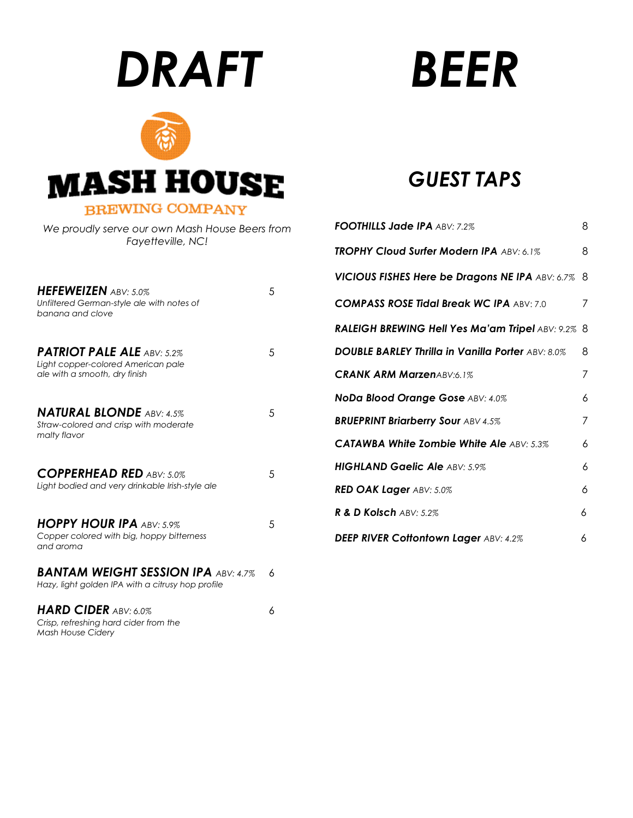# *DRAFT*



#### *We proudly serve our own Mash House Beers from Fayetteville, NC!*

| <b>HEFEWEIZEN</b> ABV: 5.0%<br>Unfiltered German-style ale with notes of<br>banana and clove             | 5 |
|----------------------------------------------------------------------------------------------------------|---|
| <b>PATRIOT PALE ALE ABV: 5.2%</b><br>Light copper-colored American pale<br>ale with a smooth, dry finish | 5 |
| <b>NATURAL BLONDE ABV: 4.5%</b><br>Straw-colored and crisp with moderate<br>malty flavor                 | 5 |
| <b>COPPERHEAD RED ABV: 5.0%</b><br>Light bodied and very drinkable Irish-style ale                       | 5 |
| <b>HOPPY HOUR IPA ABV: 5.9%</b><br>Copper colored with big, hoppy bitterness<br>and aroma                | 5 |
| <b>BANTAM WEIGHT SESSION IPA ABV: 4.7%</b><br>Hazy, light golden IPA with a citrusy hop profile          | 6 |
| <b>HARD CIDER ABV: 6.0%</b><br>Crisp, refreshing hard cider from the                                     | 6 |

*Mash House Cidery*

# *BEER*

# *GUEST TAPS*

| <b>FOOTHILLS Jade IPA ABV: 7.2%</b>                      | 8 |
|----------------------------------------------------------|---|
| TROPHY Cloud Surfer Modern IPA ABV: 6.1%                 | 8 |
| <b>VICIOUS FISHES Here be Dragons NE IPA ABV: 6.7%</b>   | 8 |
| <b>COMPASS ROSE Tidal Break WC IPA ABV: 7.0</b>          | 7 |
| RALEIGH BREWING Hell Yes Ma'am Tripel ABV: 9.2%          | 8 |
| <b>DOUBLE BARLEY Thrilla in Vanilla Porter ABV: 8.0%</b> | 8 |
| <b>CRANK ARM MarzenABV:6.1%</b>                          | 7 |
| NoDa Blood Orange Gose ABV: 4.0%                         | 6 |
| <b>BRUEPRINT Briarberry Sour ABV 4.5%</b>                | 7 |
| <b>CATAWBA White Zombie White Ale ABV: 5.3%</b>          | 6 |
| <b>HIGHLAND Gaelic Ale ABV: 5.9%</b>                     | 6 |
| <b>RED OAK Lager ABV: 5.0%</b>                           | 6 |
| R & D Kolsch ABV: 5.2%                                   | 6 |
| <b>DEEP RIVER Cottontown Lager ABV: 4.2%</b>             | 6 |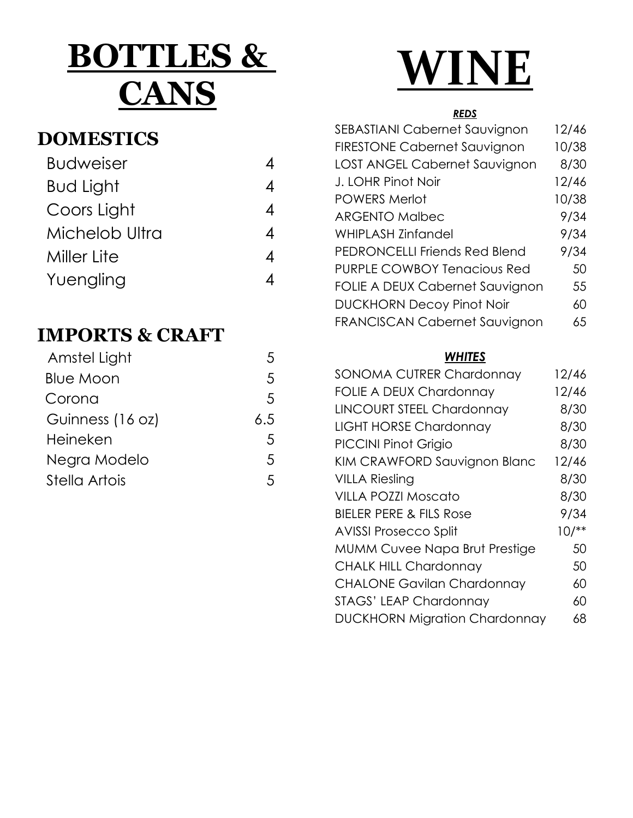# **BOTTLES & CANS**

## **DOMESTICS**

| <b>Budweiser</b> |   |
|------------------|---|
| Bud Light        | 4 |
| Coors Light      | Δ |
| Michelob Ultra   | 4 |
| Miller Lite      | 4 |
| Yuengling        |   |

## **IMPORTS & CRAFT**

| Amstel Light     |     |
|------------------|-----|
| <b>Blue Moon</b> | 5   |
| Corona           | 5   |
| Guinness (16 oz) | 6.5 |
| Heineken         | 5   |
| Negra Modelo     | 5   |
| Stella Artois    |     |

# **WINE**

#### *REDS*

| <b>SEBASTIANI Cabernet Sauvignon</b> | 12/46 |
|--------------------------------------|-------|
| <b>FIRESTONE Cabernet Sauvignon</b>  | 10/38 |
| LOST ANGEL Cabernet Sauvignon        | 8/30  |
| J. LOHR Pinot Noir                   | 12/46 |
| <b>POWERS Merlot</b>                 | 10/38 |
| <b>ARGENTO Malbec</b>                | 9/34  |
| <b>WHIPLASH Zinfandel</b>            | 9/34  |
| <b>PEDRONCELLI Friends Red Blend</b> | 9/34  |
| <b>PURPLE COWBOY Tenacious Red</b>   | 50    |
| FOLIE A DEUX Cabernet Sauvignon      | 55    |
| <b>DUCKHORN Decoy Pinot Noir</b>     | 60    |
| <b>FRANCISCAN Cabernet Sauvignon</b> | 65    |
|                                      |       |

#### *WHITES*

| 12/46  |
|--------|
| 12/46  |
| 8/30   |
| 8/30   |
| 8/30   |
| 12/46  |
| 8/30   |
| 8/30   |
| 9/34   |
| $10/*$ |
| 50     |
| 50     |
| 60     |
| 60     |
| 68     |
|        |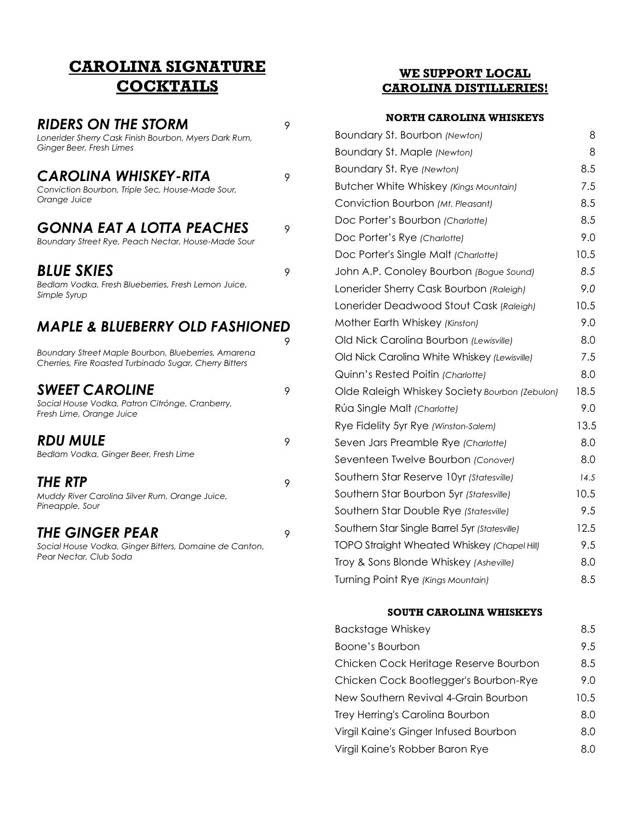#### **CAROLINA SIGNATURE COCKTAILS**

#### **RIDERS ON THE STORM** *Lonerider Sherry Cask Finish Bourbon, Myers Dark Rum,*

*Ginger Beer, Fresh Limes* **CAROLINA WHISKEY-RITA** *Conviction Bourbon, Triple Sec, House-Made Sour, Orange Juice* **GONNA EAT A LOTTA PEACHES** 

*Boundary Street Rye, Peach Nectar, House-Made Sour*

#### *BLUE SKIES* <sup>9</sup>

*Bedlam Vodka, Fresh Blueberries, Fresh Lemon Juice, Simple Syrup*

#### *MAPLE & BLUEBERRY OLD FASHIONED*

9 *Boundary Street Maple Bourbon, Blueberries, Amarena Cherries, Fire Roasted Turbinado Sugar, Cherry Bitters* **SWEET CAROLINE** *Social House Vodka, Patron Citrónge, Cranberry, Fresh Lime, Orange Juice* **RDU MULE** *Bedlam Vodka, Ginger Beer, Fresh Lime* **THE RTP** 9 *Muddy River Carolina Silver Rum, Orange Juice, Pineapple, Sour*

#### **THE GINGER PEAR** 9

*Social House Vodka, Ginger Bitters, Domaine de Canton, Pear Nectar, Club Soda*

#### **WE SUPPORT LOCAL CAROLINA DISTILLERIES!**

#### **NORTH CAROLINA WHISKEYS**

| Boundary St. Bourbon (Newton)                      | 8    |
|----------------------------------------------------|------|
| Boundary St. Maple (Newton)                        | 8    |
| Boundary St. Rye (Newton)                          | 8.5  |
| Butcher White Whiskey (Kings Mountain)             | 7.5  |
| Conviction Bourbon (Mt. Pleasant)                  | 8.5  |
| Doc Porter's Bourbon (Charlotte)                   | 8.5  |
| Doc Porter's Rye (Charlotte)                       | 9.0  |
| Doc Porter's Single Malt (Charlotte)               | 10.5 |
| John A.P. Conoley Bourbon (Bogue Sound)            | 8.5  |
| Lonerider Sherry Cask Bourbon (Raleigh)            | 9.0  |
| Lonerider Deadwood Stout Cask (Raleigh)            | 10.5 |
| Mother Earth Whiskey (Kinston)                     | 9.0  |
| Old Nick Carolina Bourbon (Lewisville)             | 8.0  |
| Old Nick Carolina White Whiskey (Lewisville)       | 7.5  |
| Quinn's Rested Poitin (Charlotte)                  | 8.0  |
| Olde Raleigh Whiskey Society Bourbon (Zebulon)     | 18.5 |
| Rúa Single Malt (Charlotte)                        | 9.0  |
| Rye Fidelity 5yr Rye (Winston-Salem)               | 13.5 |
| Seven Jars Preamble Rye (Charlotte)                | 8.0  |
| Seventeen Twelve Bourbon (Conover)                 | 8.0  |
| Southern Star Reserve 10yr (Statesville)           | 14.5 |
| Southern Star Bourbon 5yr (Statesville)            | 10.5 |
| Southern Star Double Rye (Statesville)             | 9.5  |
| Southern Star Single Barrel 5yr (Statesville)      | 12.5 |
| <b>TOPO Straight Wheated Whiskey (Chapel Hill)</b> | 9.5  |
| Troy & Sons Blonde Whiskey (Asheville)             | 8.0  |
| Turning Point Rye (Kings Mountain)                 | 8.5  |

#### **SOUTH CAROLINA WHISKEYS**

| <b>Backstage Whiskey</b>              | 8.5  |
|---------------------------------------|------|
| Boone's Bourbon                       | 9.5  |
| Chicken Cock Heritage Reserve Bourbon | 8.5  |
| Chicken Cock Bootlegger's Bourbon-Rye | 9.0  |
| New Southern Revival 4-Grain Bourbon  | 10.5 |
| Trey Herring's Carolina Bourbon       | 8.0  |
| Virgil Kaine's Ginger Infused Bourbon | 8.0  |
| Virgil Kaine's Robber Baron Rye       | 8.0  |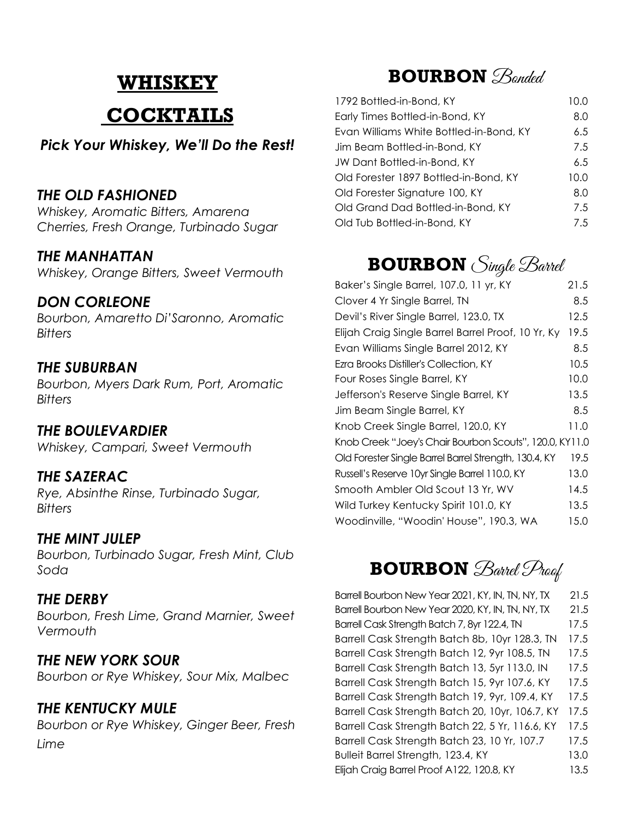# **WHISKEY COCKTAILS**

#### *Pick Your Whiskey, We'll Do the Rest!*

#### *THE OLD FASHIONED*

*Whiskey, Aromatic Bitters, Amarena Cherries, Fresh Orange, Turbinado Sugar*

#### *THE MANHATTAN*

*Whiskey, Orange Bitters, Sweet Vermouth*

#### *DON CORLEONE*

*Bourbon, Amaretto Di'Saronno, Aromatic Bitters*

#### *THE SUBURBAN*

*Bourbon, Myers Dark Rum, Port, Aromatic Bitters*

#### *THE BOULEVARDIER*

*Whiskey, Campari, Sweet Vermouth*

#### *THE SAZERAC*

*Rye, Absinthe Rinse, Turbinado Sugar, Bitters*

#### *THE MINT JULEP*

*Bourbon, Turbinado Sugar, Fresh Mint, Club Soda*

#### *THE DERBY*

*Bourbon, Fresh Lime, Grand Marnier, Sweet Vermouth*

#### *THE NEW YORK SOUR*

*Bourbon or Rye Whiskey, Sour Mix, Malbec*

#### *THE KENTUCKY MULE*

*Bourbon or Rye Whiskey, Ginger Beer, Fresh Lime*

## **BOURBON** *Bonded*

| 1792 Bottled-in-Bond, KY                | 10.0 |
|-----------------------------------------|------|
| Early Times Bottled-in-Bond, KY         | 8.0  |
| Evan Williams White Bottled-in-Bond, KY | 6.5  |
| Jim Beam Bottled-in-Bond, KY            | 7.5  |
| JW Dant Bottled-in-Bond, KY             | 6.5  |
| Old Forester 1897 Bottled-in-Bond, KY   | 10.0 |
| Old Forester Signature 100, KY          | 8.0  |
| Old Grand Dad Bottled-in-Bond, KY       | 7.5  |
| Old Tub Bottled-in-Bond, KY             | 7.5  |

## **BOURBON** Single Barrel

| Baker's Single Barrel, 107.0, 11 yr, KY                 | 21.5 |
|---------------------------------------------------------|------|
| Clover 4 Yr Single Barrel, TN                           | 8.5  |
| Devil's River Single Barrel, 123.0, TX                  | 12.5 |
| Elijah Craig Single Barrel Barrel Proof, 10 Yr, Ky      | 19.5 |
| Evan Williams Single Barrel 2012, KY                    | 8.5  |
| Ezra Brooks Distiller's Collection, KY                  | 10.5 |
| Four Roses Single Barrel, KY                            | 10.0 |
| Jefferson's Reserve Single Barrel, KY                   | 13.5 |
| Jim Beam Single Barrel, KY                              | 8.5  |
| Knob Creek Single Barrel, 120.0, KY                     | 11.0 |
| Knob Creek "Joey's Chair Bourbon Scouts", 120.0, KY11.0 |      |
| Old Forester Single Barrel Barrel Strength, 130.4, KY   | 19.5 |
| Russell's Reserve 10yr Single Barrel 110.0, KY          | 13.0 |
| Smooth Ambler Old Scout 13 Yr, WV                       | 14.5 |
| Wild Turkey Kentucky Spirit 101.0, KY                   | 13.5 |
| Woodinville, "Woodin' House", 190.3, WA                 | 15.0 |

# **BOURBON** Barrel Pract

Barrell Bourbon New Year 2021, KY, IN, TN, NY, TX 21.5 Barrell Bourbon New Year 2020, KY, IN, TN, NY, TX 21.5 Barrell Cask Strength Batch 7, 8yr 122.4, TN 17.5 Barrell Cask Strength Batch 8b, 10yr 128.3, TN 17.5 Barrell Cask Strength Batch 12, 9yr 108.5, TN 17.5 Barrell Cask Strength Batch 13, 5yr 113.0, IN 17.5 Barrell Cask Strength Batch 15, 9yr 107.6, KY 17.5 Barrell Cask Strength Batch 19, 9yr, 109.4, KY 17.5 Barrell Cask Strength Batch 20, 10yr, 106.7, KY 17.5 Barrell Cask Strength Batch 22, 5 Yr, 116.6, KY 17.5 Barrell Cask Strength Batch 23, 10 Yr, 107.7 17.5 Bulleit Barrel Strength, 123.4, KY 13.0 Elijah Craig Barrel Proof A122, 120.8, KY 13.5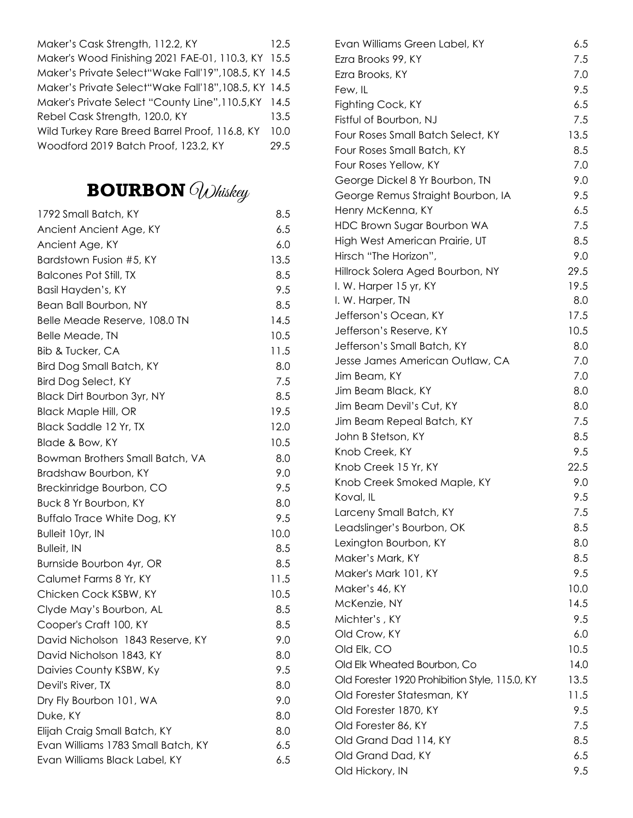| Maker's Cask Strength, 112.2, KY                     | 12.5 |
|------------------------------------------------------|------|
| Maker's Wood Finishing 2021 FAE-01, 110.3, KY 15.5   |      |
| Maker's Private Select"Wake Fall'19", 108.5, KY 14.5 |      |
| Maker's Private Select"Wake Fall'18", 108.5, KY 14.5 |      |
| Maker's Private Select "County Line", 110.5, KY 14.5 |      |
| Rebel Cask Strength, 120.0, KY                       | 13.5 |
| Wild Turkey Rare Breed Barrel Proof, 116.8, KY       | 10.0 |
| Woodford 2019 Batch Proof, 123.2, KY                 | 29.5 |

# **BOURBON** Whiskey

| 1792 Small Batch, KY               | 8.5  |
|------------------------------------|------|
| Ancient Ancient Age, KY            | 6.5  |
| Ancient Age, KY                    | 6.0  |
| Bardstown Fusion #5, KY            | 13.5 |
| <b>Balcones Pot Still, TX</b>      | 8.5  |
| Basil Hayden's, KY                 | 9.5  |
| Bean Ball Bourbon, NY              | 8.5  |
| Belle Meade Reserve, 108.0 TN      | 14.5 |
| Belle Meade, TN                    | 10.5 |
| <b>Bib &amp; Tucker, CA</b>        | 11.5 |
| Bird Dog Small Batch, KY           | 8.0  |
| <b>Bird Dog Select, KY</b>         | 7.5  |
| <b>Black Dirt Bourbon 3yr, NY</b>  | 8.5  |
| <b>Black Maple Hill, OR</b>        | 19.5 |
| Black Saddle 12 Yr, TX             | 12.0 |
| Blade & Bow, KY                    | 10.5 |
| Bowman Brothers Small Batch, VA    | 8.0  |
| Bradshaw Bourbon, KY               | 9.0  |
| Breckinridge Bourbon, CO           | 9.5  |
| Buck 8 Yr Bourbon, KY              | 8.0  |
| <b>Buffalo Trace White Dog, KY</b> | 9.5  |
| Bulleit 10yr, IN                   | 10.0 |
| <b>Bulleit, IN</b>                 | 8.5  |
| Burnside Bourbon 4yr, OR           | 8.5  |
| Calumet Farms 8 Yr, KY             | 11.5 |
| Chicken Cock KSBW, KY              | 10.5 |
| Clyde May's Bourbon, AL            | 8.5  |
| Cooper's Craft 100, KY             | 8.5  |
| David Nicholson 1843 Reserve, KY   | 9.0  |
| David Nicholson 1843, KY           | 8.0  |
| Daivies County KSBW, Ky            | 9.5  |
| Devil's River, TX                  | 8.0  |
| Dry Fly Bourbon 101, WA            | 9.0  |
| Duke, KY                           | 8.0  |
| Elijah Craig Small Batch, KY       | 8.0  |
| Evan Williams 1783 Small Batch, KY | 6.5  |
| Evan Williams Black Label, KY      | 6.5  |

| Evan Williams Green Label, KY                  | 6.5  |
|------------------------------------------------|------|
| Ezra Brooks 99, KY                             | 7.5  |
| Ezra Brooks, KY                                | 7.0  |
| Few, IL                                        | 9.5  |
| Fighting Cock, KY                              | 6.5  |
| Fistful of Bourbon, NJ                         | 7.5  |
| Four Roses Small Batch Select, KY              | 13.5 |
| Four Roses Small Batch, KY                     | 8.5  |
| Four Roses Yellow, KY                          | 7.0  |
| George Dickel 8 Yr Bourbon, TN                 | 9.0  |
| George Remus Straight Bourbon, IA              | 9.5  |
| Henry McKenna, KY                              | 6.5  |
| HDC Brown Sugar Bourbon WA                     | 7.5  |
| High West American Prairie, UT                 | 8.5  |
| Hirsch "The Horizon",                          | 9.0  |
| Hillrock Solera Aged Bourbon, NY               | 29.5 |
| I. W. Harper 15 yr, KY                         | 19.5 |
| I. W. Harper, TN                               | 8.0  |
| Jefferson's Ocean, KY                          | 17.5 |
| Jefferson's Reserve, KY                        | 10.5 |
| Jefferson's Small Batch, KY                    | 8.0  |
| Jesse James American Outlaw, CA                | 7.0  |
| Jim Beam, KY                                   | 7.0  |
| Jim Beam Black, KY                             | 8.0  |
| Jim Beam Devil's Cut, KY                       | 8.0  |
| Jim Beam Repeal Batch, KY                      | 7.5  |
| John B Stetson, KY                             | 8.5  |
| Knob Creek, KY                                 | 9.5  |
| Knob Creek 15 Yr, KY                           | 22.5 |
| Knob Creek Smoked Maple, KY                    | 9.0  |
| Koval, IL                                      | 9.5  |
| Larceny Small Batch, KY                        | 7.5  |
| Leadslinger's Bourbon, OK                      | 8.5  |
| Lexington Bourbon, KY                          | 8.0  |
| Maker's Mark, KY                               | 8.5  |
| Maker's Mark 101, KY                           | 9.5  |
| Maker's 46, KY                                 | 10.0 |
|                                                |      |
| McKenzie, NY                                   | 14.5 |
| Michter's, KY                                  | 9.5  |
| Old Crow, KY                                   | 6.0  |
| Old Elk, CO                                    | 10.5 |
| Old Elk Wheated Bourbon, Co                    | 14.0 |
| Old Forester 1920 Prohibition Style, 115.0, KY | 13.5 |
| Old Forester Statesman, KY                     | 11.5 |
| Old Forester 1870, KY                          | 9.5  |
| Old Forester 86, KY                            | 7.5  |
| Old Grand Dad 114, KY                          | 8.5  |
| Old Grand Dad, KY                              | 6.5  |
| Old Hickory, IN                                | 9.5  |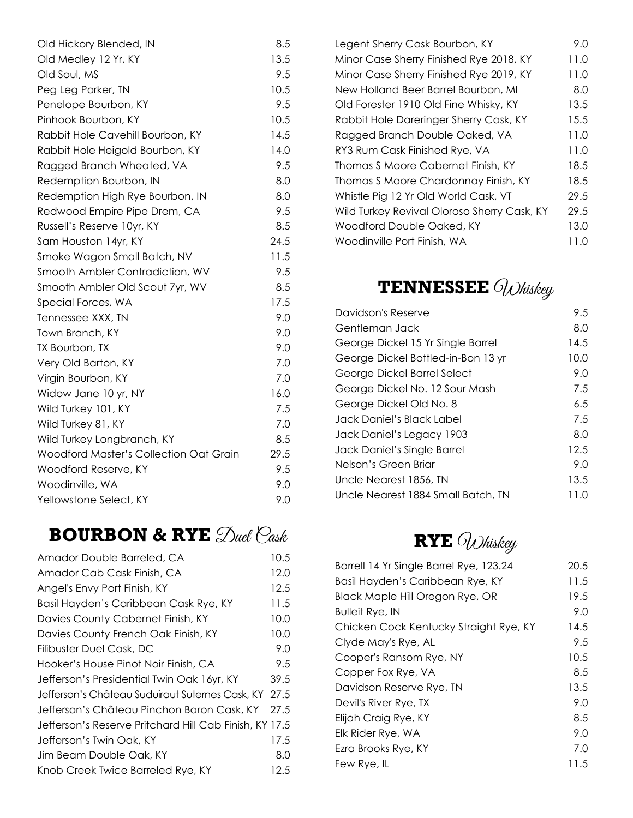| Old Hickory Blended, IN                       | 8.5  |
|-----------------------------------------------|------|
| Old Medley 12 Yr, KY                          | 13.5 |
| Old Soul, MS                                  | 9.5  |
| Peg Leg Porker, TN                            | 10.5 |
| Penelope Bourbon, KY                          | 9.5  |
| Pinhook Bourbon, KY                           | 10.5 |
| Rabbit Hole Cavehill Bourbon, KY              | 14.5 |
| Rabbit Hole Heigold Bourbon, KY               | 14.0 |
| Ragged Branch Wheated, VA                     | 9.5  |
| Redemption Bourbon, IN                        | 8.0  |
| Redemption High Rye Bourbon, IN               | 8.0  |
| Redwood Empire Pipe Drem, CA                  | 9.5  |
| Russell's Reserve 10yr, KY                    | 8.5  |
| Sam Houston 14yr, KY                          | 24.5 |
| Smoke Wagon Small Batch, NV                   | 11.5 |
| Smooth Ambler Contradiction, WV               | 9.5  |
| Smooth Ambler Old Scout 7yr, WV               | 8.5  |
| Special Forces, WA                            | 17.5 |
| Tennessee XXX, TN                             | 9.0  |
| Town Branch, KY                               | 9.0  |
| TX Bourbon, TX                                | 9.0  |
| Very Old Barton, KY                           | 7.0  |
| Virgin Bourbon, KY                            | 7.0  |
| Widow Jane 10 yr, NY                          | 16.0 |
| Wild Turkey 101, KY                           | 7.5  |
| Wild Turkey 81, KY                            | 7.0  |
| Wild Turkey Longbranch, KY                    | 8.5  |
| <b>Woodford Master's Collection Oat Grain</b> | 29.5 |
| Woodford Reserve, KY                          | 9.5  |
| Woodinville, WA                               | 9.0  |
| Yellowstone Select, KY                        | 9.0  |
|                                               |      |

# **BOURBON & RYE**  $\mathcal{D}$ uel  $\mathcal{C}$ ask

| Amador Double Barreled, CA                             | 10.5 |
|--------------------------------------------------------|------|
| Amador Cab Cask Finish, CA                             | 12.0 |
| Angel's Envy Port Finish, KY                           | 12.5 |
| Basil Hayden's Caribbean Cask Rye, KY                  | 11.5 |
| Davies County Cabernet Finish, KY                      | 10.0 |
| Davies County French Oak Finish, KY                    | 10.0 |
| Filibuster Duel Cask, DC                               | 9.0  |
| Hooker's House Pinot Noir Finish, CA                   | 9.5  |
| Jefferson's Presidential Twin Oak 16yr, KY             | 39.5 |
| Jefferson's Château Suduiraut Suternes Cask, KY 27.5   |      |
| Jefferson's Château Pinchon Baron Cask, KY             | 27.5 |
| Jefferson's Reserve Pritchard Hill Cab Finish, KY 17.5 |      |
| Jefferson's Twin Oak, KY                               | 17.5 |
| Jim Beam Double Oak, KY                                | 8.0  |
| Knob Creek Twice Barreled Rye, KY                      | 12.5 |
|                                                        |      |

| Legent Sherry Cask Bourbon, KY              | 9.0  |
|---------------------------------------------|------|
| Minor Case Sherry Finished Rye 2018, KY     | 11.0 |
| Minor Case Sherry Finished Rye 2019, KY     | 11.0 |
| New Holland Beer Barrel Bourbon, MI         | 8.0  |
| Old Forester 1910 Old Fine Whisky, KY       | 13.5 |
| Rabbit Hole Dareringer Sherry Cask, KY      | 15.5 |
| Ragged Branch Double Oaked, VA              | 11.0 |
| RY3 Rum Cask Finished Rye, VA               | 11.0 |
| Thomas S Moore Cabernet Finish, KY          | 18.5 |
| Thomas S Moore Chardonnay Finish, KY        | 18.5 |
| Whistle Pig 12 Yr Old World Cask, VT        | 29.5 |
| Wild Turkey Revival Oloroso Sherry Cask, KY | 29.5 |
| Woodford Double Oaked, KY                   | 13.0 |
| Woodinville Port Finish, WA                 | 11.0 |

# **TENNESSEE** *OWhiskey*

| Davidson's Reserve                 | 9.5    |
|------------------------------------|--------|
| Gentleman Jack                     | 8.0    |
| George Dickel 15 Yr Single Barrel  | 14.5   |
| George Dickel Bottled-in-Bon 13 yr | 10.0   |
| George Dickel Barrel Select        | 9.0    |
| George Dickel No. 12 Sour Mash     | 7.5    |
| George Dickel Old No. 8            | 6.5    |
| Jack Daniel's Black Label          | 7.5    |
| Jack Daniel's Legacy 1903          | 8.0    |
| Jack Daniel's Single Barrel        | 12.5   |
| Nelson's Green Briar               | 9.0    |
| Uncle Nearest 1856, TN             | 13.5   |
| Uncle Nearest 1884 Small Batch, TN | 1 I .O |

# **RYE** Whiskey

| Barrell 14 Yr Single Barrel Rye, 123.24 | 20.5 |
|-----------------------------------------|------|
| Basil Hayden's Caribbean Rye, KY        | 11.5 |
| Black Maple Hill Oregon Rye, OR         | 19.5 |
| <b>Bulleit Rye, IN</b>                  | 9.0  |
| Chicken Cock Kentucky Straight Rye, KY  | 14.5 |
| Clyde May's Rye, AL                     | 9.5  |
| Cooper's Ransom Rye, NY                 | 10.5 |
| Copper Fox Rye, VA                      | 8.5  |
| Davidson Reserve Rye, TN                | 13.5 |
| Devil's River Rye, TX                   | 9.0  |
| Elijah Craig Rye, KY                    | 8.5  |
| Elk Rider Rye, WA                       | 9.0  |
| Ezra Brooks Rye, KY                     | 7.0  |
| Few Rye, IL                             | 11.5 |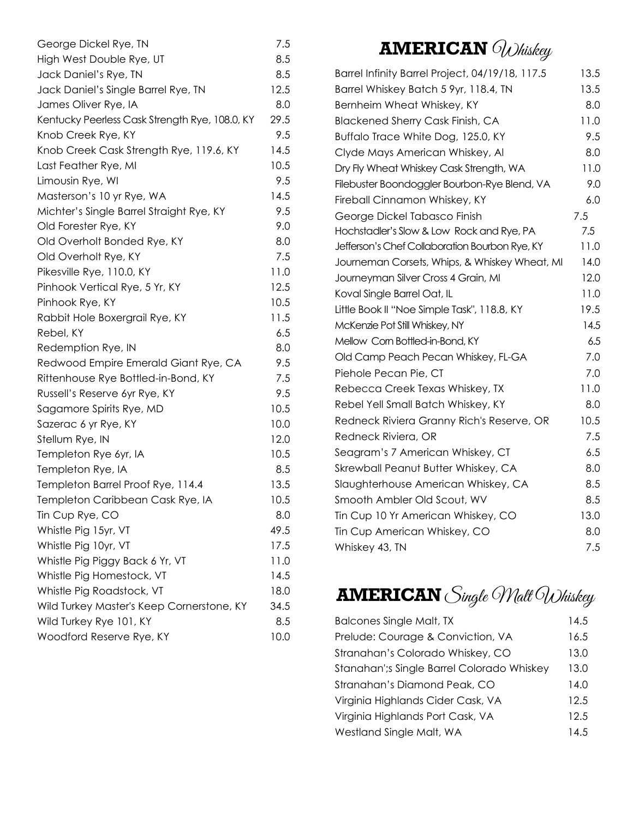| George Dickel Rye, TN                          | 7.5  |
|------------------------------------------------|------|
| High West Double Rye, UT                       | 8.5  |
| Jack Daniel's Rye, TN                          | 8.5  |
| Jack Daniel's Single Barrel Rye, TN            | 12.5 |
| James Oliver Rye, IA                           | 8.0  |
| Kentucky Peerless Cask Strength Rye, 108.0, KY | 29.5 |
| Knob Creek Rye, KY                             | 9.5  |
| Knob Creek Cask Strength Rye, 119.6, KY        | 14.5 |
| Last Feather Rye, MI                           | 10.5 |
| Limousin Rye, WI                               | 9.5  |
| Masterson's 10 yr Rye, WA                      | 14.5 |
| Michter's Single Barrel Straight Rye, KY       | 9.5  |
| Old Forester Rye, KY                           | 9.0  |
| Old Overholt Bonded Rye, KY                    | 8.0  |
| Old Overholt Rye, KY                           | 7.5  |
| Pikesville Rye, 110.0, KY                      | 11.0 |
| Pinhook Vertical Rye, 5 Yr, KY                 | 12.5 |
| Pinhook Rye, KY                                | 10.5 |
| Rabbit Hole Boxergrail Rye, KY                 | 11.5 |
| Rebel, KY                                      | 6.5  |
| Redemption Rye, IN                             | 8.0  |
| Redwood Empire Emerald Giant Rye, CA           | 9.5  |
| Rittenhouse Rye Bottled-in-Bond, KY            | 7.5  |
| Russell's Reserve 6yr Rye, KY                  | 9.5  |
| Sagamore Spirits Rye, MD                       | 10.5 |
| Sazerac 6 yr Rye, KY                           | 10.0 |
| Stellum Rye, IN                                | 12.0 |
| Templeton Rye 6yr, IA                          | 10.5 |
| Templeton Rye, IA                              | 8.5  |
| Templeton Barrel Proof Rye, 114.4              | 13.5 |
| Templeton Caribbean Cask Rye, IA               | 10.5 |
| Tin Cup Rye, CO                                | 8.0  |
| Whistle Pig 15yr, VT                           | 49.5 |
| Whistle Pig 10yr, VT                           | 17.5 |
| Whistle Pig Piggy Back 6 Yr, VT                | 11.0 |
| Whistle Pig Homestock, VT                      | 14.5 |
| Whistle Pig Roadstock, VT                      | 18.0 |
| Wild Turkey Master's Keep Cornerstone, KY      | 34.5 |
| Wild Turkey Rye 101, KY                        | 8.5  |
| Woodford Reserve Rye, KY                       | 10.0 |

# **AMERICAN** *OWhiskey*

| Barrel Infinity Barrel Project, 04/19/18, 117.5 | 13.5 |
|-------------------------------------------------|------|
| Barrel Whiskey Batch 5 9yr, 118.4, TN           | 13.5 |
| Bernheim Wheat Whiskey, KY                      | 8.0  |
| <b>Blackened Sherry Cask Finish, CA</b>         | 11.0 |
| Buffalo Trace White Dog, 125.0, KY              | 9.5  |
| Clyde Mays American Whiskey, Al                 | 8.0  |
| Dry Fly Wheat Whiskey Cask Strength, WA         | 11.0 |
| Filebuster Boondoggler Bourbon-Rye Blend, VA    | 9.0  |
| Fireball Cinnamon Whiskey, KY                   | 6.0  |
| George Dickel Tabasco Finish                    | 7.5  |
| Hochstadler's Slow & Low Rock and Rye, PA       | 7.5  |
| Jefferson's Chef Collaboration Bourbon Rye, KY  | 11.0 |
| Journeman Corsets, Whips, & Whiskey Wheat, MI   | 14.0 |
| Journeyman Silver Cross 4 Grain, MI             | 12.0 |
| Koval Single Barrel Oat, IL                     | 11.0 |
| Little Book II "Noe Simple Task", 118.8, KY     | 19.5 |
| McKenzie Pot Still Whiskey, NY                  | 14.5 |
| Mellow Corn Bottled-in-Bond, KY                 | 6.5  |
| Old Camp Peach Pecan Whiskey, FL-GA             | 7.0  |
| Piehole Pecan Pie, CT                           | 7.0  |
| Rebecca Creek Texas Whiskey, TX                 | 11.0 |
| Rebel Yell Small Batch Whiskey, KY              | 8.0  |
| Redneck Riviera Granny Rich's Reserve, OR       | 10.5 |
| Redneck Riviera, OR                             | 7.5  |
| Seagram's 7 American Whiskey, CT                | 6.5  |
| Skrewball Peanut Butter Whiskey, CA             | 8.0  |
| Slaughterhouse American Whiskey, CA             | 8.5  |
| Smooth Ambler Old Scout, WV                     | 8.5  |
| Tin Cup 10 Yr American Whiskey, CO              | 13.0 |
| Tin Cup American Whiskey, CO                    | 8.0  |
| Whiskey 43, TN                                  | 7.5  |
|                                                 |      |

**AMERICAN** Single Walt Whiskey

| <b>Balcones Single Malt, TX</b>            | 14.5 |
|--------------------------------------------|------|
| Prelude: Courage & Conviction, VA          | 16.5 |
| Stranahan's Colorado Whiskey, CO           | 13.0 |
| Stanahan'; sSingle Barrel Colorado Whiskey | 13.0 |
| Stranahan's Diamond Peak, CO               | 14.0 |
| Virginia Highlands Cider Cask, VA          | 12.5 |
| Virginia Highlands Port Cask, VA           | 12.5 |
| Westland Single Malt, WA                   | 14.5 |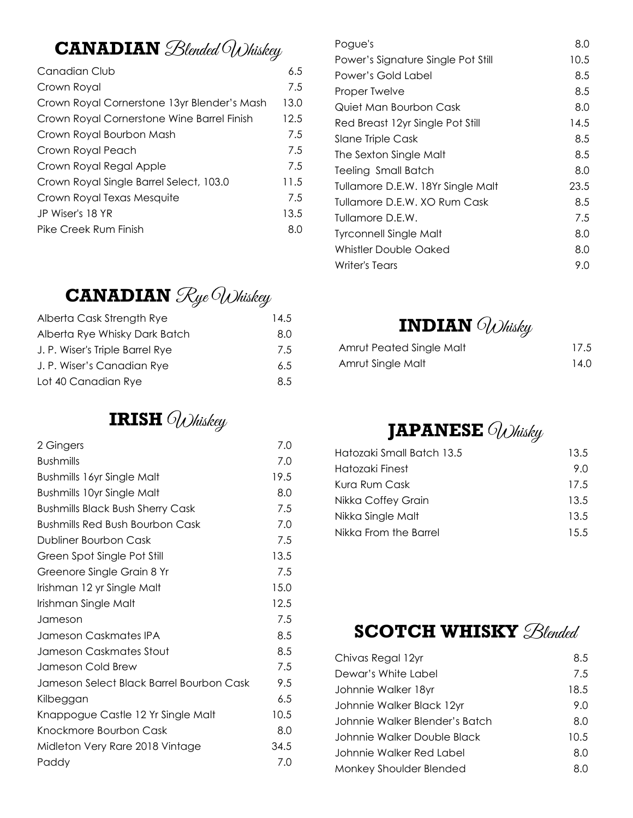# **CANADIAN** *Blended* Whiskey

| Canadian Club                               | 6.5  |
|---------------------------------------------|------|
| Crown Royal                                 | 7.5  |
| Crown Royal Cornerstone 13yr Blender's Mash | 13.0 |
| Crown Royal Cornerstone Wine Barrel Finish  | 12.5 |
| Crown Royal Bourbon Mash                    | 7.5  |
| Crown Royal Peach                           | 7.5  |
| Crown Royal Regal Apple                     | 7.5  |
| Crown Royal Single Barrel Select, 103.0     | 11.5 |
| Crown Royal Texas Mesquite                  | 7.5  |
| JP Wiser's 18 YR                            | 13.5 |
| Pike Creek Rum Finish                       | 8.0  |
|                                             |      |

# **CANADIAN**  $\mathcal{R}$ ye Whiskey

| Alberta Cask Strength Rye       | 14.5 |
|---------------------------------|------|
| Alberta Rye Whisky Dark Batch   | 8.0  |
| J. P. Wiser's Triple Barrel Rye | 7.5  |
| J. P. Wiser's Canadian Rye      | 6.5  |
| Lot 40 Canadian Rye             | 8.5  |

# **IRISH** Whiskey

| 2 Gingers                                | 7.0  |
|------------------------------------------|------|
| <b>Bushmills</b>                         | 7.0  |
| <b>Bushmills 16yr Single Malt</b>        | 19.5 |
| <b>Bushmills 10yr Single Malt</b>        | 8.0  |
| <b>Bushmills Black Bush Sherry Cask</b>  | 7.5  |
| <b>Bushmills Red Bush Bourbon Cask</b>   | 7.0  |
| Dubliner Bourbon Cask                    | 7.5  |
| Green Spot Single Pot Still              | 13.5 |
| Greenore Single Grain 8 Yr               | 7.5  |
| Irishman 12 yr Single Malt               | 15.0 |
| Irishman Single Malt                     | 12.5 |
| Jameson                                  | 7.5  |
| Jameson Caskmates IPA                    | 8.5  |
| Jameson Caskmates Stout                  | 8.5  |
| Jameson Cold Brew                        | 7.5  |
| Jameson Select Black Barrel Bourbon Cask | 9.5  |
| Kilbeggan                                | 6.5  |
| Knappogue Castle 12 Yr Single Malt       | 10.5 |
| Knockmore Bourbon Cask                   | 8.0  |
| Midleton Very Rare 2018 Vintage          | 34.5 |
| Paddy                                    | 7.0  |
|                                          |      |

| Pogue's                            | 8.0  |
|------------------------------------|------|
| Power's Signature Single Pot Still | 10.5 |
| Power's Gold Label                 | 8.5  |
| Proper Twelve                      | 8.5  |
| Quiet Man Bourbon Cask             | 8.0  |
| Red Breast 12yr Single Pot Still   | 14.5 |
| Slane Triple Cask                  | 8.5  |
| The Sexton Single Malt             | 8.5  |
| Teeling Small Batch                | 8.0  |
| Tullamore D.E.W. 18Yr Single Malt  | 23.5 |
| Tullamore D.F.W. XO Rum Cask       | 8.5  |
| Tullamore D.E.W.                   | 7.5  |
| Tyrconnell Single Malt             | 8.0  |
| Whistler Double Oaked              | 8.0  |
| Writer's Tears                     | 9.0  |
|                                    |      |

## **INDIAN** Whisky

| Amrut Peated Single Malt | 17.5 |
|--------------------------|------|
| Amrut Single Malt        | 14.0 |

# **JAPANESE** Whisky

| 13.5  |
|-------|
| 9 N   |
| 17.5  |
| 13.5  |
| 13.5  |
| 1.5.5 |
|       |

### **SCOTCH WHISKY**  $B$ lended

| 8.5  |
|------|
| 7.5  |
| 18.5 |
| 9.0  |
| 8.0  |
| 10.5 |
| 8.0  |
| 8.0  |
|      |